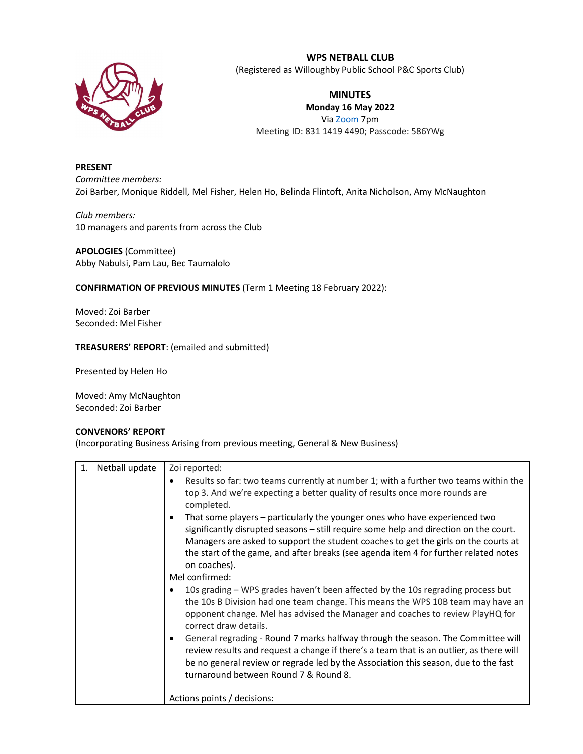

# WPS NETBALL CLUB

(Registered as Willoughby Public School P&C Sports Club)

MINUTES Monday 16 May 2022 Via Zoom 7pm Meeting ID: 831 1419 4490; Passcode: 586YWg

## PRESENT

Committee members: Zoi Barber, Monique Riddell, Mel Fisher, Helen Ho, Belinda Flintoft, Anita Nicholson, Amy McNaughton

Club members: 10 managers and parents from across the Club

APOLOGIES (Committee) Abby Nabulsi, Pam Lau, Bec Taumalolo

### CONFIRMATION OF PREVIOUS MINUTES (Term 1 Meeting 18 February 2022):

Moved: Zoi Barber Seconded: Mel Fisher

#### TREASURERS' REPORT: (emailed and submitted)

Presented by Helen Ho

Moved: Amy McNaughton Seconded: Zoi Barber

### CONVENORS' REPORT

(Incorporating Business Arising from previous meeting, General & New Business)

| Netball update | Zoi reported:                                                                                                                                                                                                                                                                                                                                                                   |  |
|----------------|---------------------------------------------------------------------------------------------------------------------------------------------------------------------------------------------------------------------------------------------------------------------------------------------------------------------------------------------------------------------------------|--|
|                | Results so far: two teams currently at number 1; with a further two teams within the<br>$\bullet$<br>top 3. And we're expecting a better quality of results once more rounds are<br>completed.                                                                                                                                                                                  |  |
|                | That some players - particularly the younger ones who have experienced two<br>$\bullet$<br>significantly disrupted seasons - still require some help and direction on the court.<br>Managers are asked to support the student coaches to get the girls on the courts at<br>the start of the game, and after breaks (see agenda item 4 for further related notes<br>on coaches). |  |
|                | Mel confirmed:                                                                                                                                                                                                                                                                                                                                                                  |  |
|                | 10s grading – WPS grades haven't been affected by the 10s regrading process but<br>the 10s B Division had one team change. This means the WPS 10B team may have an<br>opponent change. Mel has advised the Manager and coaches to review PlayHQ for<br>correct draw details.                                                                                                    |  |
|                | General regrading - Round 7 marks halfway through the season. The Committee will<br>$\bullet$<br>review results and request a change if there's a team that is an outlier, as there will<br>be no general review or regrade led by the Association this season, due to the fast<br>turnaround between Round 7 & Round 8.                                                        |  |
|                | Actions points / decisions:                                                                                                                                                                                                                                                                                                                                                     |  |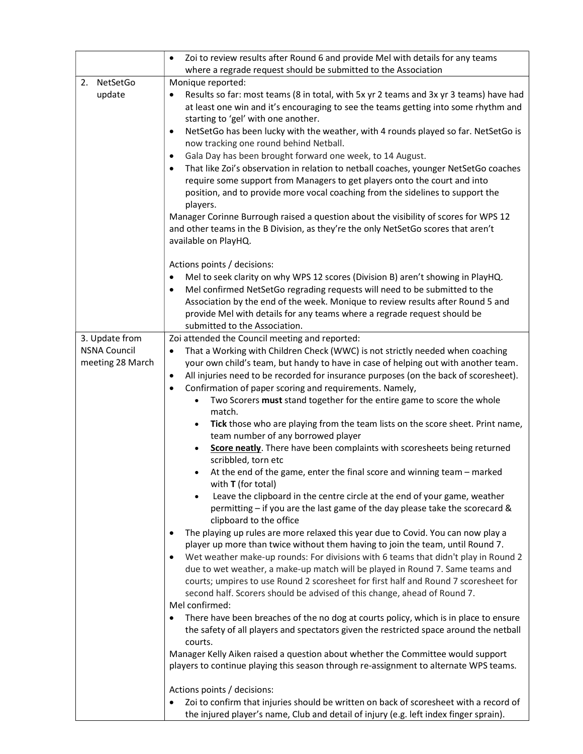| NetSetGo<br>2.<br>update                                  | Zoi to review results after Round 6 and provide Mel with details for any teams<br>$\bullet$<br>where a regrade request should be submitted to the Association<br>Monique reported:<br>Results so far: most teams (8 in total, with 5x yr 2 teams and 3x yr 3 teams) have had<br>at least one win and it's encouraging to see the teams getting into some rhythm and<br>starting to 'gel' with one another.<br>NetSetGo has been lucky with the weather, with 4 rounds played so far. NetSetGo is<br>$\bullet$<br>now tracking one round behind Netball.<br>Gala Day has been brought forward one week, to 14 August.<br>٠<br>That like Zoi's observation in relation to netball coaches, younger NetSetGo coaches<br>$\bullet$<br>require some support from Managers to get players onto the court and into                                                                                                                                                                                                                                                                                                                                                                                                                                                                                                                                                                                                                                                                                                                                                                                                                                                                                                                                                                                                                                                                                                                                                                                                     |
|-----------------------------------------------------------|-----------------------------------------------------------------------------------------------------------------------------------------------------------------------------------------------------------------------------------------------------------------------------------------------------------------------------------------------------------------------------------------------------------------------------------------------------------------------------------------------------------------------------------------------------------------------------------------------------------------------------------------------------------------------------------------------------------------------------------------------------------------------------------------------------------------------------------------------------------------------------------------------------------------------------------------------------------------------------------------------------------------------------------------------------------------------------------------------------------------------------------------------------------------------------------------------------------------------------------------------------------------------------------------------------------------------------------------------------------------------------------------------------------------------------------------------------------------------------------------------------------------------------------------------------------------------------------------------------------------------------------------------------------------------------------------------------------------------------------------------------------------------------------------------------------------------------------------------------------------------------------------------------------------------------------------------------------------------------------------------------------------|
|                                                           | position, and to provide more vocal coaching from the sidelines to support the<br>players.<br>Manager Corinne Burrough raised a question about the visibility of scores for WPS 12<br>and other teams in the B Division, as they're the only NetSetGo scores that aren't<br>available on PlayHQ.                                                                                                                                                                                                                                                                                                                                                                                                                                                                                                                                                                                                                                                                                                                                                                                                                                                                                                                                                                                                                                                                                                                                                                                                                                                                                                                                                                                                                                                                                                                                                                                                                                                                                                                |
|                                                           | Actions points / decisions:<br>Mel to seek clarity on why WPS 12 scores (Division B) aren't showing in PlayHQ.<br>$\bullet$<br>Mel confirmed NetSetGo regrading requests will need to be submitted to the<br>٠<br>Association by the end of the week. Monique to review results after Round 5 and<br>provide Mel with details for any teams where a regrade request should be<br>submitted to the Association.                                                                                                                                                                                                                                                                                                                                                                                                                                                                                                                                                                                                                                                                                                                                                                                                                                                                                                                                                                                                                                                                                                                                                                                                                                                                                                                                                                                                                                                                                                                                                                                                  |
| 3. Update from<br><b>NSNA Council</b><br>meeting 28 March | Zoi attended the Council meeting and reported:<br>That a Working with Children Check (WWC) is not strictly needed when coaching<br>$\bullet$<br>your own child's team, but handy to have in case of helping out with another team.<br>All injuries need to be recorded for insurance purposes (on the back of scoresheet).<br>٠<br>Confirmation of paper scoring and requirements. Namely,<br>$\bullet$<br>Two Scorers must stand together for the entire game to score the whole<br>match.<br>Tick those who are playing from the team lists on the score sheet. Print name,<br>$\bullet$<br>team number of any borrowed player<br>Score neatly. There have been complaints with scoresheets being returned<br>scribbled, torn etc<br>At the end of the game, enter the final score and winning team - marked<br>with $T$ (for total)<br>Leave the clipboard in the centre circle at the end of your game, weather<br>$\bullet$<br>permitting - if you are the last game of the day please take the scorecard &<br>clipboard to the office<br>The playing up rules are more relaxed this year due to Covid. You can now play a<br>player up more than twice without them having to join the team, until Round 7.<br>Wet weather make-up rounds: For divisions with 6 teams that didn't play in Round 2<br>$\bullet$<br>due to wet weather, a make-up match will be played in Round 7. Same teams and<br>courts; umpires to use Round 2 scoresheet for first half and Round 7 scoresheet for<br>second half. Scorers should be advised of this change, ahead of Round 7.<br>Mel confirmed:<br>There have been breaches of the no dog at courts policy, which is in place to ensure<br>$\bullet$<br>the safety of all players and spectators given the restricted space around the netball<br>courts.<br>Manager Kelly Aiken raised a question about whether the Committee would support<br>players to continue playing this season through re-assignment to alternate WPS teams.<br>Actions points / decisions: |
|                                                           | Zoi to confirm that injuries should be written on back of scoresheet with a record of<br>٠<br>the injured player's name, Club and detail of injury (e.g. left index finger sprain).                                                                                                                                                                                                                                                                                                                                                                                                                                                                                                                                                                                                                                                                                                                                                                                                                                                                                                                                                                                                                                                                                                                                                                                                                                                                                                                                                                                                                                                                                                                                                                                                                                                                                                                                                                                                                             |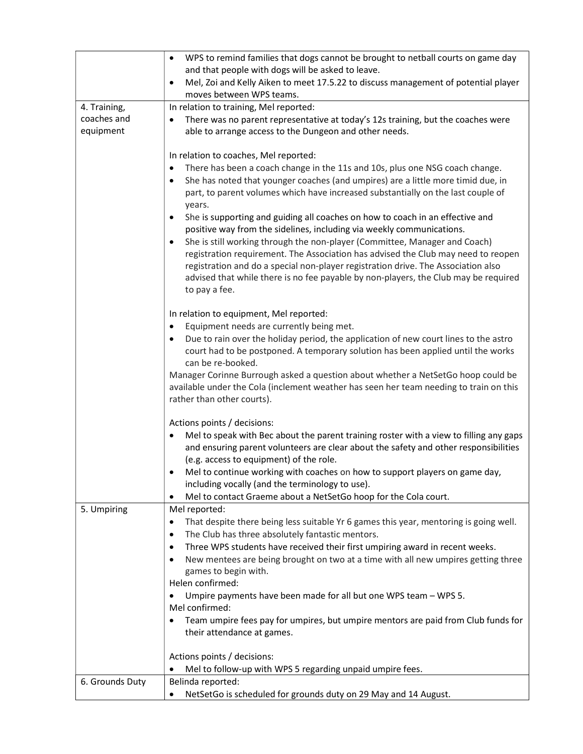|                 | WPS to remind families that dogs cannot be brought to netball courts on game day<br>$\bullet$                                                                              |  |  |
|-----------------|----------------------------------------------------------------------------------------------------------------------------------------------------------------------------|--|--|
|                 | and that people with dogs will be asked to leave.<br>Mel, Zoi and Kelly Aiken to meet 17.5.22 to discuss management of potential player<br>$\bullet$                       |  |  |
|                 | moves between WPS teams.                                                                                                                                                   |  |  |
| 4. Training,    | In relation to training, Mel reported:                                                                                                                                     |  |  |
| coaches and     | There was no parent representative at today's 12s training, but the coaches were<br>$\bullet$                                                                              |  |  |
| equipment       | able to arrange access to the Dungeon and other needs.                                                                                                                     |  |  |
|                 | In relation to coaches, Mel reported:                                                                                                                                      |  |  |
|                 | There has been a coach change in the 11s and 10s, plus one NSG coach change.<br>$\bullet$                                                                                  |  |  |
|                 | She has noted that younger coaches (and umpires) are a little more timid due, in<br>$\bullet$                                                                              |  |  |
|                 | part, to parent volumes which have increased substantially on the last couple of<br>years.                                                                                 |  |  |
|                 | She is supporting and guiding all coaches on how to coach in an effective and<br>$\bullet$<br>positive way from the sidelines, including via weekly communications.        |  |  |
|                 | She is still working through the non-player (Committee, Manager and Coach)<br>٠                                                                                            |  |  |
|                 | registration requirement. The Association has advised the Club may need to reopen                                                                                          |  |  |
|                 | registration and do a special non-player registration drive. The Association also                                                                                          |  |  |
|                 | advised that while there is no fee payable by non-players, the Club may be required                                                                                        |  |  |
|                 | to pay a fee.                                                                                                                                                              |  |  |
|                 | In relation to equipment, Mel reported:                                                                                                                                    |  |  |
|                 | Equipment needs are currently being met.<br>$\bullet$                                                                                                                      |  |  |
|                 | Due to rain over the holiday period, the application of new court lines to the astro<br>$\bullet$                                                                          |  |  |
|                 | court had to be postponed. A temporary solution has been applied until the works                                                                                           |  |  |
|                 | can be re-booked.                                                                                                                                                          |  |  |
|                 | Manager Corinne Burrough asked a question about whether a NetSetGo hoop could be<br>available under the Cola (inclement weather has seen her team needing to train on this |  |  |
|                 | rather than other courts).                                                                                                                                                 |  |  |
|                 |                                                                                                                                                                            |  |  |
|                 | Actions points / decisions:                                                                                                                                                |  |  |
|                 | Mel to speak with Bec about the parent training roster with a view to filling any gaps                                                                                     |  |  |
|                 | and ensuring parent volunteers are clear about the safety and other responsibilities<br>(e.g. access to equipment) of the role.                                            |  |  |
|                 | Mel to continue working with coaches on how to support players on game day,                                                                                                |  |  |
|                 | including vocally (and the terminology to use).                                                                                                                            |  |  |
|                 | Mel to contact Graeme about a NetSetGo hoop for the Cola court.<br>$\bullet$                                                                                               |  |  |
| 5. Umpiring     | Mel reported:                                                                                                                                                              |  |  |
|                 | That despite there being less suitable Yr 6 games this year, mentoring is going well.<br>$\bullet$                                                                         |  |  |
|                 | The Club has three absolutely fantastic mentors.<br>٠<br>Three WPS students have received their first umpiring award in recent weeks.<br>$\bullet$                         |  |  |
|                 | New mentees are being brought on two at a time with all new umpires getting three                                                                                          |  |  |
|                 | games to begin with.                                                                                                                                                       |  |  |
|                 | Helen confirmed:                                                                                                                                                           |  |  |
|                 | Umpire payments have been made for all but one WPS team - WPS 5.                                                                                                           |  |  |
|                 | Mel confirmed:                                                                                                                                                             |  |  |
|                 | Team umpire fees pay for umpires, but umpire mentors are paid from Club funds for<br>their attendance at games.                                                            |  |  |
|                 |                                                                                                                                                                            |  |  |
|                 | Actions points / decisions:                                                                                                                                                |  |  |
|                 | Mel to follow-up with WPS 5 regarding unpaid umpire fees.                                                                                                                  |  |  |
| 6. Grounds Duty | Belinda reported:                                                                                                                                                          |  |  |
|                 | NetSetGo is scheduled for grounds duty on 29 May and 14 August.                                                                                                            |  |  |